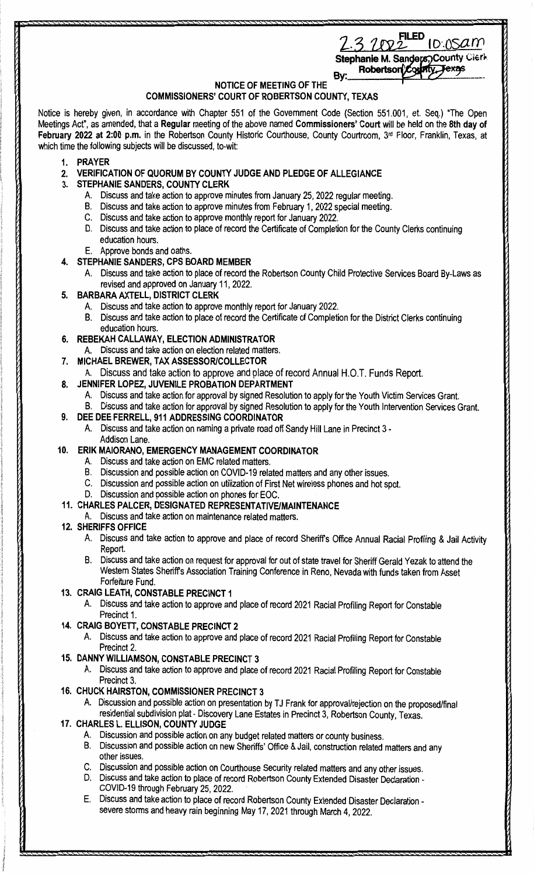| 1 ED<br>3102 | TO:ASAM |
|--------------|---------|
|--------------|---------|

Stephanie M. Sanders, County Clerk Robertson<sup>2</sup>Cor Texas ЙV. By:

# **NOTICE OF MEETING OF THE**

## **COMMISSIONERS' COURT OF ROBERTSON COUNTY, TEXAS**

Notice is hereby given, in accordance with Chapter 551 of the Government Code (Section 551.001, et. Seq.) "The Open Meetings Act", as amended, that a **Regular** meeting of the above named **Commissioners' Court** will be held on the **8th day of February 2022 at 2:00 p.m.** in the Robertson County Historic Courthouse, County Courtroom, 3rd Floor, Franklin, Texas, at which time the following subjects will be discussed, to-wit:

- **1. PRAYER**
- **2. VERIFICATION OF QUORUM BY COUNTY JUDGE AND PLEDGE OF ALLEGIANCE**
- **3. STEPHANIE SANDERS, COUNTY CLERK** 
	- A. Discuss and take action to approve minutes from January 25, 2022 regular meeting.
	- B. Discuss and take action to approve minutes from February 1, 2022 special meeting.
	- C. Discuss and take action to approve monthly report for January 2022.
	- D. Discuss and take action to place of record the Certificate of Completion for the County Clerks continuing education hours.
	- E. Approve bonds and oaths.

## **4. STEPHANIE SANDERS, CPS BOARD MEMBER**

- A. Discuss and take action to place of record the Robertson County Child Protective Services Board By-Laws as revised and approved on January 11, 2022.
- **5. BARBARA AXTELL, DISTRICT CLERK** 
	- A. Discuss and take action to approve monthly report for January 2022.
		- B. Discuss and take action to place of record the Certificate of Completion for the District Clerks continuing education hours.
- **6. REBEKAH CALLAWAY, ELECTION ADMINISTRATOR**
- Discuss and take action on election related matters.
- **7. MICHAEL BREWER, TAX ASSESSOR/COLLECTOR** 
	- A. Discuss and take action to approve and place of record Annual H.O.T. Funds Report.
- **8. JENNIFER LOPEZ, JUVENILE PROBATION DEPARTMENT** 
	- A. Discuss and take action for approval by signed Resolution to apply for the Youth Victim Services Grant.
	- B. Discuss and take action for approval by signed Resolution to apply for the Youth Intervention Services Grant.
	- **9. DEE DEE FERRELL, 911 ADDRESSING COORDINATOR**
	- A. Discuss and take action on naming a private road off Sandy Hill Lane in Precinct 3 Addison Lane.

## **10. ERIK MAIORANO, EMERGENCY MANAGEMENT COORDINATOR**

- A. Discuss and take action on EMC related matters.
- B. Discussion and possible action on COVID-19 related matters and any other issues.
- C. Discussion and possible action on utilization of First Net wireless phones and hot spot.
- D. Discussion and possible action on phones for EOC.

#### **11. CHARLES PALCER, DESIGNATED REPRESENTATIVE/MAINTENANCE**

A. Discuss and take action on maintenance related matters.

## **12. SHERIFFS OFFICE**

- A. Discuss and take action to approve and place of record Sheriffs Office Annual Racial Profiling & Jail Activity Report.
- B. Discuss and take action on request for approval for out of state travel for Sheriff Gerald Yezak to attend the Western States Sheriffs Association Training Conference in Reno, Nevada with funds taken from Asset Forfeiture Fund.

## **13. CRAIG LEATH, CONSTABLE PRECINCT 1**

A. Discuss and take action to approve and place of record 2021 Racial Profiling Report for Constable Precinct 1.

## **14. CRAIG BOYETT, CONSTABLE PRECINCT 2**

- A. Discuss and take action to approve and place of record 2021 Racial Profiling Report for Constable Precinct 2.
- **15. DANNY WILLIAMSON, CONSTABLE PRECINCT 3** 
	- A. Discuss and take action to approve and place of record 2021 Racial Profiling Report for Constable Precinct 3.

## **16. CHUCK HAIRSTON, COMMISSIONER PRECINCT 3**

A. Discussion and possible action on presentation by TJ Frank for approval/rejection on the proposed/final residential subdivision plat- Discovery Lane Estates in Precinct 3, Robertson County, Texas.

# **17. CHARLES L. ELLISON, COUNTY JUDGE**

- A. Discussion and possible action on any budget related matters or county business.
- B. Discussion and possible action on new Sheriffs' Office & Jail, construction related matters and any other issues.
- C. Discussion and possible action on Courthouse Security related matters and any other issues.
- D. Discuss and take action to place of record Robertson County Extended Disaster Declaration COVID-19 through February 25, 2022.
- E. Discuss and take action to place of record Robertson County Extended Disaster Declaration severe storms and heavy rain beginning May 17, 2021 through March 4, 2022.